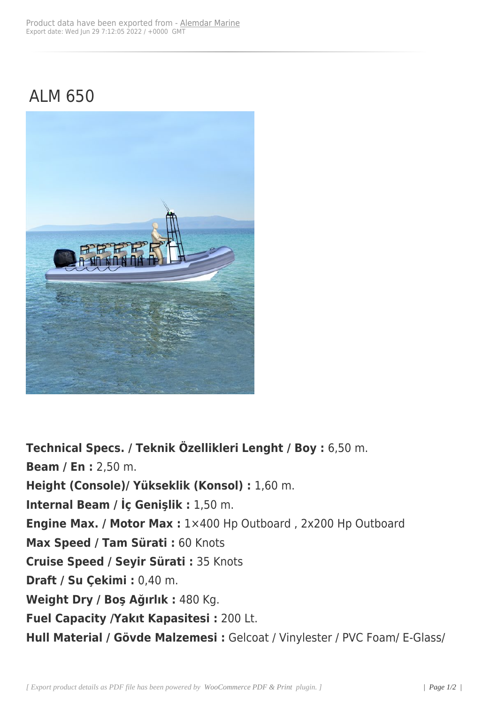## ALM 650



**Technical Specs. / Teknik Özellikleri Lenght / Boy :** 6,50 m. **Beam / En :** 2,50 m. **Height (Console)/ Yükseklik (Konsol) :** 1,60 m. **Internal Beam / İç Genişlik :** 1,50 m. **Engine Max. / Motor Max :** 1×400 Hp Outboard , 2x200 Hp Outboard **Max Speed / Tam Sürati :** 60 Knots **Cruise Speed / Seyir Sürati :** 35 Knots **Draft / Su Çekimi :** 0,40 m. **Weight Dry / Boş Ağırlık :** 480 Kg. **Fuel Capacity /Yakıt Kapasitesi :** 200 Lt. **Hull Material / Gövde Malzemesi :** Gelcoat / Vinylester / PVC Foam/ E-Glass/